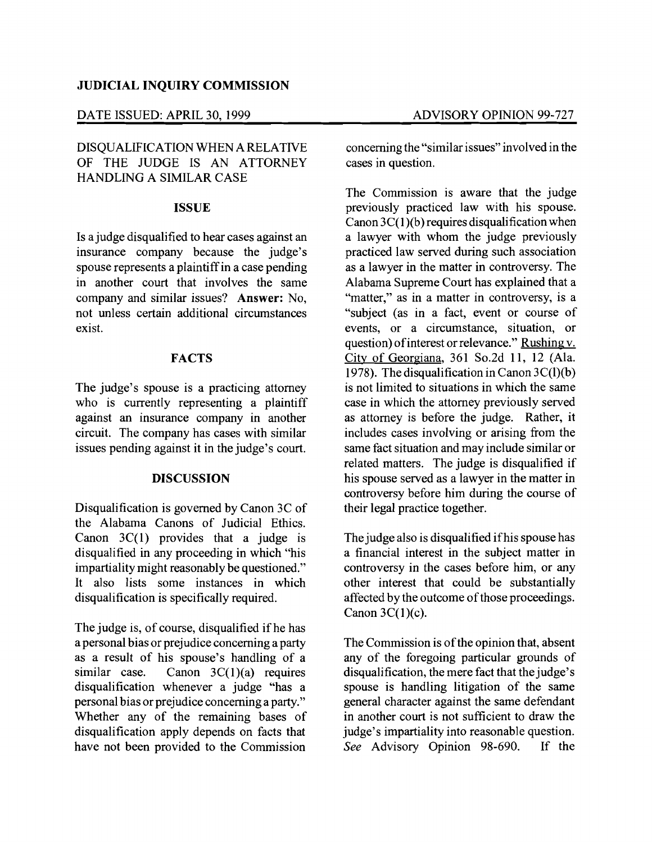## DATE ISSUED: APRIL 30, 1999 ADVISORY OPINION 99-727

# DISQUALIFICATION WHEN A RELATIVE OF THE JUDGE IS AN ATTORNEY HANDLING A SIMILAR CASE

#### **ISSUE**

Is a judge disqualified to hear cases against an insurance company because the judge's spouse represents a plaintiffin a case pending in another court that involves the same company and similar issues? Answer: No, not unless certain additional circumstances exist.

# **FACTS**

The judge's spouse is a practicing attorney who is currently representing a plaintiff against an insurance company in another circuit. The company has cases with similar issues pending against it in the judge's court.

#### DISCUSSION

Disqualification is governed by Canon 3C of the Alabama Canons of Judicial Ethics. Canon  $3C(1)$  provides that a judge is disqualified in any proceeding in which "his impartiality might reasonably be questioned." It also lists some instances in which disqualification is specifically required.

The judge is, of course, disqualified if he has a personal bias or prejudice concerning a party as a result of his spouse's handling of a similar case. Canon  $3C(1)(a)$  requires disqualification whenever a judge "has a personal bias or prejudice concerning a party." Whether any of the remaining bases of disqualification apply depends on facts that have not been provided to the Commission

concerning the "similarissues" involved in the cases in question.

The Commission is aware that the judge previously practiced law with his spouse. Canon  $3C(1)(b)$  requires disqualification when a lawyer with whom the judge previously practiced law served during such association as a lawyer in the matter in controversy. The Alabama Supreme Court has explained that a "matter," as in a matter in controversy, is a "subject (as in a fact, event or course of events, or a circumstance, situation, or question) of interest or relevance." Rushing v. City of Georgiana, 361 So.2d 11, 12 (Ala. 1978). The disqualification in Canon 3C(l)(b) is not limited to situations in which the same case in which the attorney previously served as attorney is before the judge. Rather, it includes cases involving or arising from the same fact situation and may include similar or related matters. The judge is disqualified if his spouse served as a lawyer in the matter in controversy before him during the course of their legal practice together.

The judge also is disqualified ifhis spouse has a financial interest in the subject matter in controversy in the cases before him, or any other interest that could be substantially affected by the outcome of those proceedings. Canon  $3C(1)(c)$ .

The Commission is of the opinion that, absent any of the foregoing particular grounds of disqualification, the mere fact that the judge's spouse is handling litigation of the same general character against the same defendant in another court is not sufficient to draw the judge's impartiality into reasonable question. *See* Advisory Opinion 98-690. If the